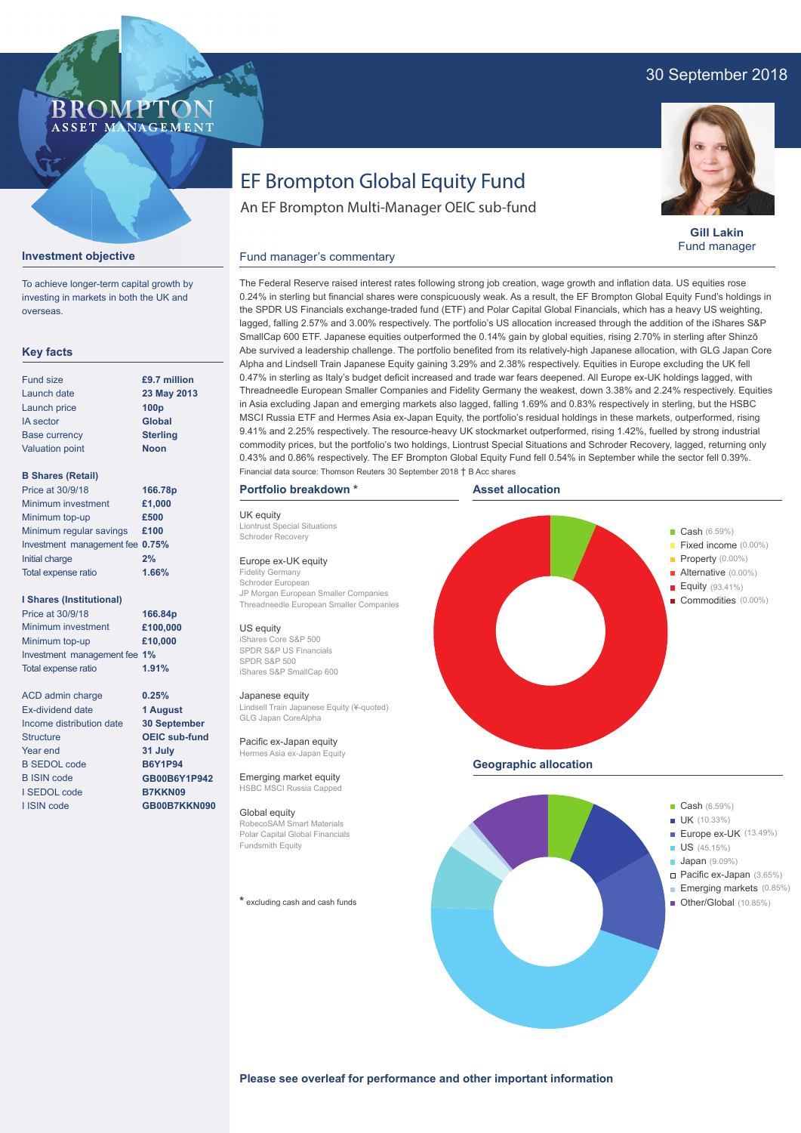# 30 September 2018

# BROMP ASSET MANAGEMENT

**Gill Lakin** Fund manager

### **Investment objective**

To achieve longer-term capital growth by investing in markets in both the UK and overseas.

## **Key facts**

| <b>Fund size</b>       | £9.7 million     |
|------------------------|------------------|
| Launch date            | 23 May 2013      |
| Launch price           | 100 <sub>p</sub> |
| <b>IA</b> sector       | <b>Global</b>    |
| <b>Base currency</b>   | <b>Sterling</b>  |
| <b>Valuation point</b> | <b>Noon</b>      |
|                        |                  |

#### **B Shares (Retail)**

| Price at 30/9/18                | 166.78p |
|---------------------------------|---------|
| Minimum investment              | £1,000  |
| Minimum top-up                  | £500    |
| Minimum regular savings         | £100    |
| Investment management fee 0.75% |         |
| Initial charge                  | 2%      |
| Total expense ratio             | 1.66%   |
|                                 |         |

#### **I Shares (Institutional)**

Minimum investment Minimum top-up Investment management fee **1%** Total expense ratio **£100,000 £10,000** Price at 30/9/18 **166.84p 1.91%**

> **0.25% 1 August 30 September OEIC sub-fund 31 July B6Y1P94 GB00B6Y1P942 B7KKN09 GB00B7KKN090**

ACD admin charge Ex-dividend date Income distribution date **Structure** Year end B SEDOL code B ISIN code I SEDOL code I ISIN code

EF Brompton Global Equity Fund

An EF Brompton Multi-Manager OEIC sub-fund

### Fund manager's commentary

The Federal Reserve raised interest rates following strong job creation, wage growth and inflation data. US equities rose 0.24% in sterling but financial shares were conspicuously weak. As a result, the EF Brompton Global Equity Fund's holdings in the SPDR US Financials exchange-traded fund (ETF) and Polar Capital Global Financials, which has a heavy US weighting, lagged, falling 2.57% and 3.00% respectively. The portfolio's US allocation increased through the addition of the iShares S&P SmallCap 600 ETF. Japanese equities outperformed the 0.14% gain by global equities, rising 2.70% in sterling after Shinzō Abe survived a leadership challenge. The portfolio benefited from its relatively-high Japanese allocation, with GLG Japan Core Alpha and Lindsell Train Japanese Equity gaining 3.29% and 2.38% respectively. Equities in Europe excluding the UK fell 0.47% in sterling as Italy's budget deficit increased and trade war fears deepened. All Europe ex-UK holdings lagged, with Threadneedle European Smaller Companies and Fidelity Germany the weakest, down 3.38% and 2.24% respectively. Equities in Asia excluding Japan and emerging markets also lagged, falling 1.69% and 0.83% respectively in sterling, but the HSBC MSCI Russia ETF and Hermes Asia ex-Japan Equity, the portfolio's residual holdings in these markets, outperformed, rising 9.41% and 2.25% respectively. The resource-heavy UK stockmarket outperformed, rising 1.42%, fuelled by strong industrial commodity prices, but the portfolio's two holdings, Liontrust Special Situations and Schroder Recovery, lagged, returning only 0.43% and 0.86% respectively. The EF Brompton Global Equity Fund fell 0.54% in September while the sector fell 0.39%. Financial data source: Thomson Reuters 30 September 2018 † B Acc shares

#### **Portfolio breakdown \***

UK equity Liontrust Special Situations Schroder Recovery

#### Europe ex-UK equity

Fidelity Germany Schroder European JP Morgan European Smaller Companies Threadneedle European Smaller Companies

#### US equity

iShares Core S&P 500 SPDR S&P US Financials SPDR S&P 500 iShares S&P SmallCap 600

#### Japanese equity

Lindsell Train Japanese Equity (¥-quoted) GLG Japan CoreAlpha

Pacific ex-Japan equity Hermes Asia ex-Japan Equity

Emerging market equity **HSBC MSCI Russia Cappe** 

#### Global equity

RobecoSAM Smart Materials Polar Capital Global Financials Fundsmith Equity

**\*** excluding cash and cash funds





**Please see overleaf for performance and other important information**